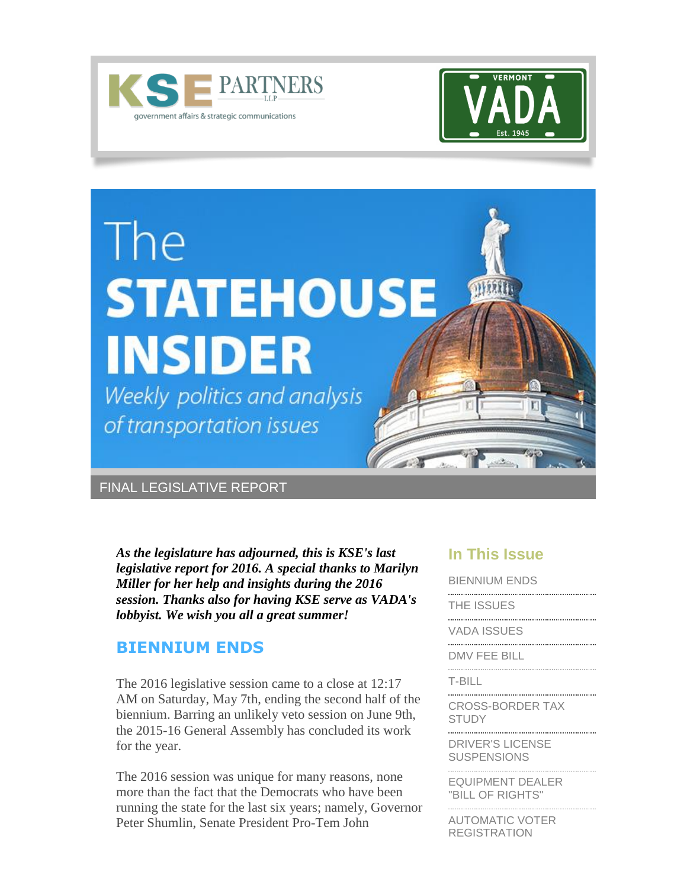





### FINAL LEGISLATIVE REPORT

<span id="page-0-0"></span>*As the legislature has adjourned, this is KSE's last legislative report for 2016. A special thanks to Marilyn Miller for her help and insights during the 2016 session. Thanks also for having KSE serve as VADA's lobbyist. We wish you all a great summer!*

### **BIENNIUM ENDS**

The 2016 legislative session came to a close at 12:17 AM on Saturday, May 7th, ending the second half of the biennium. Barring an unlikely veto session on June 9th, the 2015-16 General Assembly has concluded its work for the year.

The 2016 session was unique for many reasons, none more than the fact that the Democrats who have been running the state for the last six years; namely, Governor Peter Shumlin, Senate President Pro-Tem John

#### **In This Issue**

[BIENNIUM ENDS](#page-0-0) 

[THE ISSUES](#page-1-0) 

[VADA ISSUES](#page-2-0)

[DMV FEE BILL](#page-2-0) 

[T-BILL](#page-3-0)

[CROSS-BORDER TAX](#page-4-0)  **[STUDY](#page-4-0)** 

[DRIVER'S LICENSE](#page-4-0)  [SUSPENSIONS](#page-4-0)

[EQUIPMENT DEALER](#page-4-0)  ["BILL OF RIGHTS"](#page-4-0)

[AUTOMATIC VOTER](#page-5-0)  [REGISTRATION](#page-5-0)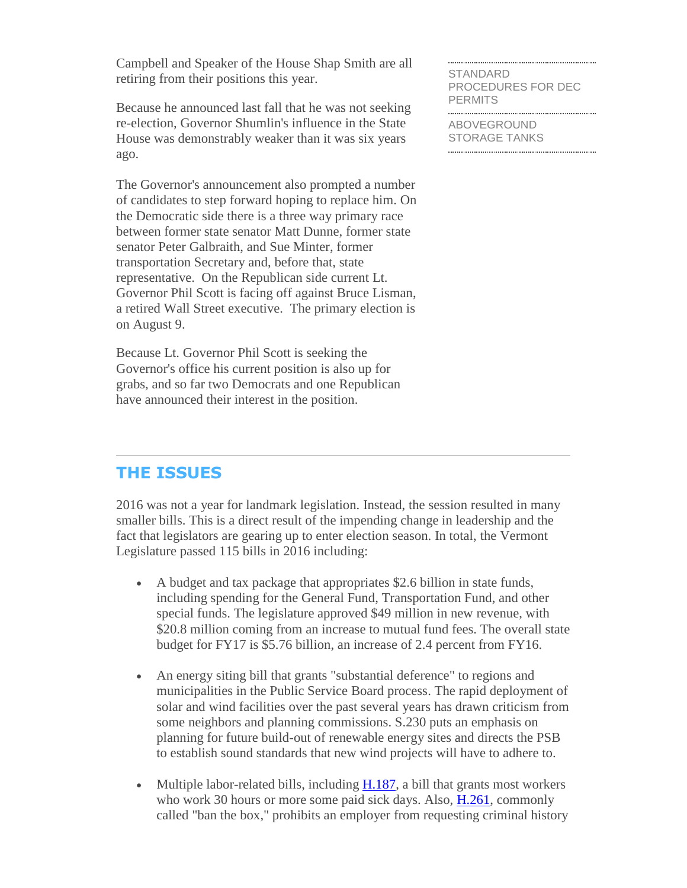Campbell and Speaker of the House Shap Smith are all retiring from their positions this year.

Because he announced last fall that he was not seeking re-election, Governor Shumlin's influence in the State House was demonstrably weaker than it was six years ago.

The Governor's announcement also prompted a number of candidates to step forward hoping to replace him. On the Democratic side there is a three way primary race between former state senator Matt Dunne, former state senator Peter Galbraith, and Sue Minter, former transportation Secretary and, before that, state representative. On the Republican side current Lt. Governor Phil Scott is facing off against Bruce Lisman, a retired Wall Street executive. The primary election is on August 9.

Because Lt. Governor Phil Scott is seeking the Governor's office his current position is also up for grabs, and so far two Democrats and one Republican have announced their interest in the position.

[STANDARD](#page-5-0)  [PROCEDURES FOR DEC](#page-5-0)  **PERMITS** 

[ABOVEGROUND](#page-5-0)  [STORAGE TANKS](#page-5-0)

### <span id="page-1-0"></span>**THE ISSUES**

2016 was not a year for landmark legislation. Instead, the session resulted in many smaller bills. This is a direct result of the impending change in leadership and the fact that legislators are gearing up to enter election season. In total, the Vermont Legislature passed 115 bills in 2016 including:

- A budget and tax package that appropriates \$2.6 billion in state funds, including spending for the General Fund, Transportation Fund, and other special funds. The legislature approved \$49 million in new revenue, with \$20.8 million coming from an increase to mutual fund fees. The overall state budget for FY17 is \$5.76 billion, an increase of 2.4 percent from FY16.
- An energy siting bill that grants "substantial deference" to regions and municipalities in the Public Service Board process. The rapid deployment of solar and wind facilities over the past several years has drawn criticism from some neighbors and planning commissions. S.230 puts an emphasis on planning for future build-out of renewable energy sites and directs the PSB to establish sound standards that new wind projects will have to adhere to.
- Multiple labor-related bills, including [H.187,](http://r20.rs6.net/tn.jsp?f=001fAS57pR3QI3pSLDKmL64hOkGY_0VoJS9q-9EnJYqq7TXLY8G4NezAEatsPLj1sklRWLTH30q0aYz3T8SZ2OA0SN4aiFeC6JLHhIHyNeO6jOuxZixlfSGw412Np0x0zKhwa2ubdMPStrhqKCwE4FtPYiEYwdMisWUGrHiVsycDRSzo_97B3otcNvocibO6DwK5Uc3ixz6DhE0lje35Zbg8PTdX_xev_PGCunD_nDP3Y9bxeuink3QvqYftyow0obHgxGpiELi13YxkrujLa0LvPYeN5uv10ZM&c=Yw1Yk33UIKtFskU7dFGRLDNuVtWIh8m5B45rUXywUQI0mD2zM6Xn6g==&ch=tTI4-0murj38csbcxo39HPCIgyhCOhzXNS98JkLvj2cwbBW4-UxuBQ==) a bill that grants most workers who work 30 hours or more some paid sick days. Also, [H.261,](http://r20.rs6.net/tn.jsp?f=001fAS57pR3QI3pSLDKmL64hOkGY_0VoJS9q-9EnJYqq7TXLY8G4NezAEatsPLj1skl95XWis71wns6N6r-1TnK6pCfBENIhdcHX5zEgWqCasskL8xbScXO8QIOyhk4RKlivDAwu1S93WgpylkJDN5D3BIJgSXyA-76aQHzet0RT2ygN33oV3dxhBZWoOaowfXkYB9k3aUqvJCydgx6wD0M0jPEWoJElBm-at7gXrMWXMRZiO1fldHiPFH2ISPhsSJLZPRD9qqhZndQNLSzrxGjLT37OzpxrqmC&c=Yw1Yk33UIKtFskU7dFGRLDNuVtWIh8m5B45rUXywUQI0mD2zM6Xn6g==&ch=tTI4-0murj38csbcxo39HPCIgyhCOhzXNS98JkLvj2cwbBW4-UxuBQ==) commonly called "ban the box," prohibits an employer from requesting criminal history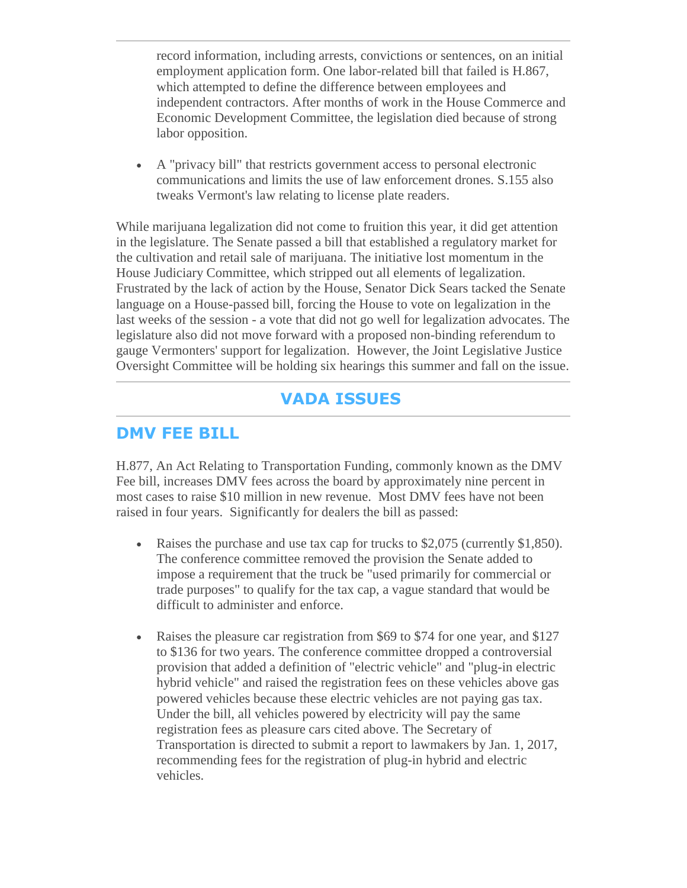<span id="page-2-0"></span>record information, including arrests, convictions or sentences, on an initial employment application form. One labor-related bill that failed is H.867, which attempted to define the difference between employees and independent contractors. After months of work in the House Commerce and Economic Development Committee, the legislation died because of strong labor opposition.

 A "privacy bill" that restricts government access to personal electronic communications and limits the use of law enforcement drones. S.155 also tweaks Vermont's law relating to license plate readers.

While marijuana legalization did not come to fruition this year, it did get attention in the legislature. The Senate passed a bill that established a regulatory market for the cultivation and retail sale of marijuana. The initiative lost momentum in the House Judiciary Committee, which stripped out all elements of legalization. Frustrated by the lack of action by the House, Senator Dick Sears tacked the Senate language on a House-passed bill, forcing the House to vote on legalization in the last weeks of the session - a vote that did not go well for legalization advocates. The legislature also did not move forward with a proposed non-binding referendum to gauge Vermonters' support for legalization. However, the Joint Legislative Justice Oversight Committee will be holding six hearings this summer and fall on the issue.

### **VADA ISSUES**

### **DMV FEE BILL**

H.877, An Act Relating to Transportation Funding, commonly known as the DMV Fee bill, increases DMV fees across the board by approximately nine percent in most cases to raise \$10 million in new revenue. Most DMV fees have not been raised in four years. Significantly for dealers the bill as passed:

- Raises the purchase and use tax cap for trucks to \$2,075 (currently \$1,850). The conference committee removed the provision the Senate added to impose a requirement that the truck be "used primarily for commercial or trade purposes" to qualify for the tax cap, a vague standard that would be difficult to administer and enforce.
- Raises the pleasure car registration from \$69 to \$74 for one year, and \$127 to \$136 for two years. The conference committee dropped a controversial provision that added a definition of "electric vehicle" and "plug-in electric hybrid vehicle" and raised the registration fees on these vehicles above gas powered vehicles because these electric vehicles are not paying gas tax. Under the bill, all vehicles powered by electricity will pay the same registration fees as pleasure cars cited above. The Secretary of Transportation is directed to submit a report to lawmakers by Jan. 1, 2017, recommending fees for the registration of plug-in hybrid and electric vehicles.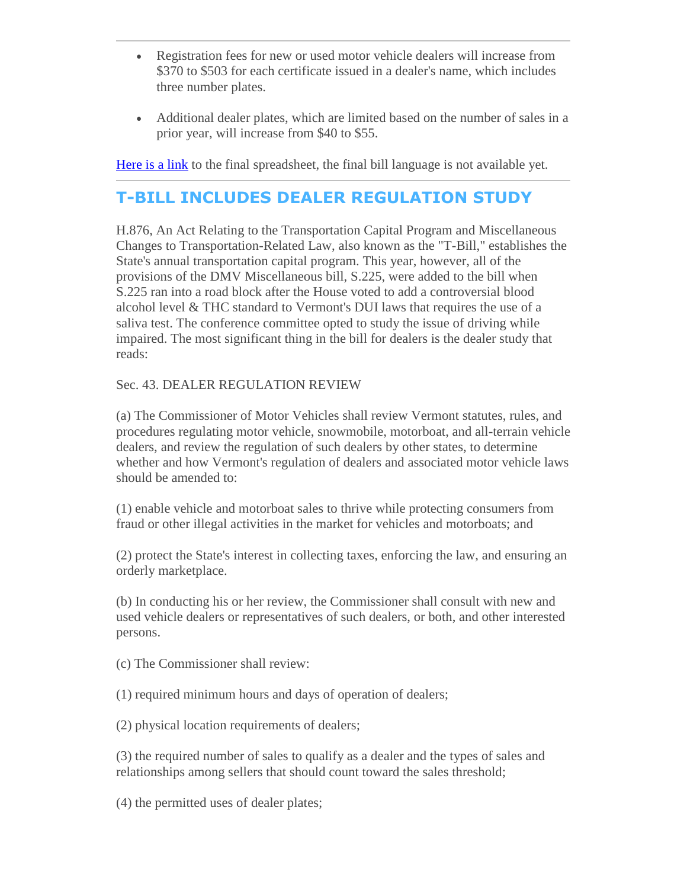- <span id="page-3-0"></span> Registration fees for new or used motor vehicle dealers will increase from \$370 to \$503 for each certificate issued in a dealer's name, which includes three number plates.
- Additional dealer plates, which are limited based on the number of sales in a prior year, will increase from \$40 to \$55.

[Here is a link](http://r20.rs6.net/tn.jsp?f=001fAS57pR3QI3pSLDKmL64hOkGY_0VoJS9q-9EnJYqq7TXLY8G4NezAEatsPLj1sklp81SBglhe_IyKQ1Pz2JpAkjOeVE7KvRY9rZIxrxwJJKju3Vkrrib6qKB3Q3jX3QS57ltjdNmkEzIBdp7o8Dd38UEG3SMQjBdS4mfCuFYiejJURLdi2fsgwrlpA2skqHo6kvnhkiJ1JMc7gA5HGNLcEQjpmlZyB-mbqK2IX6206U3E5aZ3q1sNu28OPhNlm_TUYnDsTFwfulJr9rFgd_ogTsj4TqOvGSx&c=Yw1Yk33UIKtFskU7dFGRLDNuVtWIh8m5B45rUXywUQI0mD2zM6Xn6g==&ch=tTI4-0murj38csbcxo39HPCIgyhCOhzXNS98JkLvj2cwbBW4-UxuBQ==) to the final spreadsheet, the final bill language is not available yet.

# **T-BILL INCLUDES DEALER REGULATION STUDY**

H.876, An Act Relating to the Transportation Capital Program and Miscellaneous Changes to Transportation-Related Law, also known as the "T-Bill," establishes the State's annual transportation capital program. This year, however, all of the provisions of the DMV Miscellaneous bill, S.225, were added to the bill when S.225 ran into a road block after the House voted to add a controversial blood alcohol level & THC standard to Vermont's DUI laws that requires the use of a saliva test. The conference committee opted to study the issue of driving while impaired. The most significant thing in the bill for dealers is the dealer study that reads:

#### Sec. 43. DEALER REGULATION REVIEW

(a) The Commissioner of Motor Vehicles shall review Vermont statutes, rules, and procedures regulating motor vehicle, snowmobile, motorboat, and all-terrain vehicle dealers, and review the regulation of such dealers by other states, to determine whether and how Vermont's regulation of dealers and associated motor vehicle laws should be amended to:

(1) enable vehicle and motorboat sales to thrive while protecting consumers from fraud or other illegal activities in the market for vehicles and motorboats; and

(2) protect the State's interest in collecting taxes, enforcing the law, and ensuring an orderly marketplace.

(b) In conducting his or her review, the Commissioner shall consult with new and used vehicle dealers or representatives of such dealers, or both, and other interested persons.

(c) The Commissioner shall review:

(1) required minimum hours and days of operation of dealers;

(2) physical location requirements of dealers;

(3) the required number of sales to qualify as a dealer and the types of sales and relationships among sellers that should count toward the sales threshold;

(4) the permitted uses of dealer plates;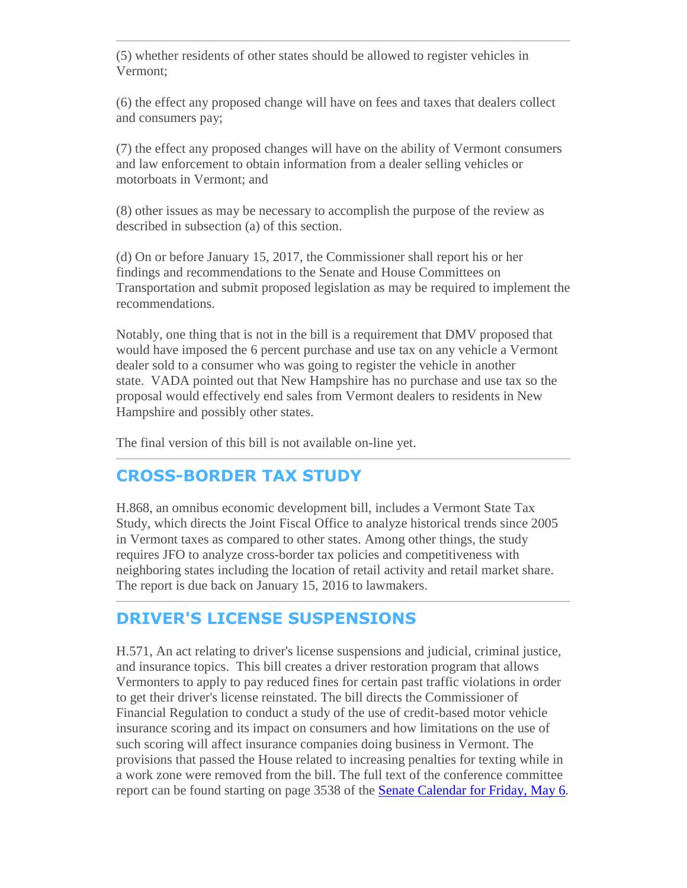<span id="page-4-0"></span>(5) whether residents of other states should be allowed to register vehicles in Vermont;

(6) the effect any proposed change will have on fees and taxes that dealers collect and consumers pay;

(7) the effect any proposed changes will have on the ability of Vermont consumers and law enforcement to obtain information from a dealer selling vehicles or motorboats in Vermont; and

(8) other issues as may be necessary to accomplish the purpose of the review as described in subsection (a) of this section.

(d) On or before January 15, 2017, the Commissioner shall report his or her findings and recommendations to the Senate and House Committees on Transportation and submit proposed legislation as may be required to implement the recommendations.

Notably, one thing that is not in the bill is a requirement that DMV proposed that would have imposed the 6 percent purchase and use tax on any vehicle a Vermont dealer sold to a consumer who was going to register the vehicle in another state. VADA pointed out that New Hampshire has no purchase and use tax so the proposal would effectively end sales from Vermont dealers to residents in New Hampshire and possibly other states.

The final version of this bill is not available on-line yet.

## **CROSS-BORDER TAX STUDY**

H.868, an omnibus economic development bill, includes a Vermont State Tax Study, which directs the Joint Fiscal Office to analyze historical trends since 2005 in Vermont taxes as compared to other states. Among other things, the study requires JFO to analyze cross-border tax policies and competitiveness with neighboring states including the location of retail activity and retail market share. The report is due back on January 15, 2016 to lawmakers.

## **DRIVER'S LICENSE SUSPENSIONS**

H.571, An act relating to driver's license suspensions and judicial, criminal justice, and insurance topics. This bill creates a driver restoration program that allows Vermonters to apply to pay reduced fines for certain past traffic violations in order to get their driver's license reinstated. The bill directs the Commissioner of Financial Regulation to conduct a study of the use of credit-based motor vehicle insurance scoring and its impact on consumers and how limitations on the use of such scoring will affect insurance companies doing business in Vermont. The provisions that passed the House related to increasing penalties for texting while in a work zone were removed from the bill. The full text of the conference committee report can be found starting on page 3538 of the [Senate Calendar for Friday, May 6.](http://r20.rs6.net/tn.jsp?f=001fAS57pR3QI3pSLDKmL64hOkGY_0VoJS9q-9EnJYqq7TXLY8G4NezAEatsPLj1sklJ9veMuYHSb5OxJEZqjH8m2XMsex0luc2R-Q_wfqzfQFQXkLHlRcFRvMU4UoPHz1buOeqeUWAZzJAe-n27yhM00zhNo3-9Sgd3NU_1iNeb7PkraqmSyFhVS-uaZXruiFj50TiCmLnuM7IzxPALIRe7YkEhdDz515vjMBSFUJtfSEFelODa6hNIu-bk5-haEVEWIC6aHQUuu2ODzewFQTaBw==&c=Yw1Yk33UIKtFskU7dFGRLDNuVtWIh8m5B45rUXywUQI0mD2zM6Xn6g==&ch=tTI4-0murj38csbcxo39HPCIgyhCOhzXNS98JkLvj2cwbBW4-UxuBQ==)